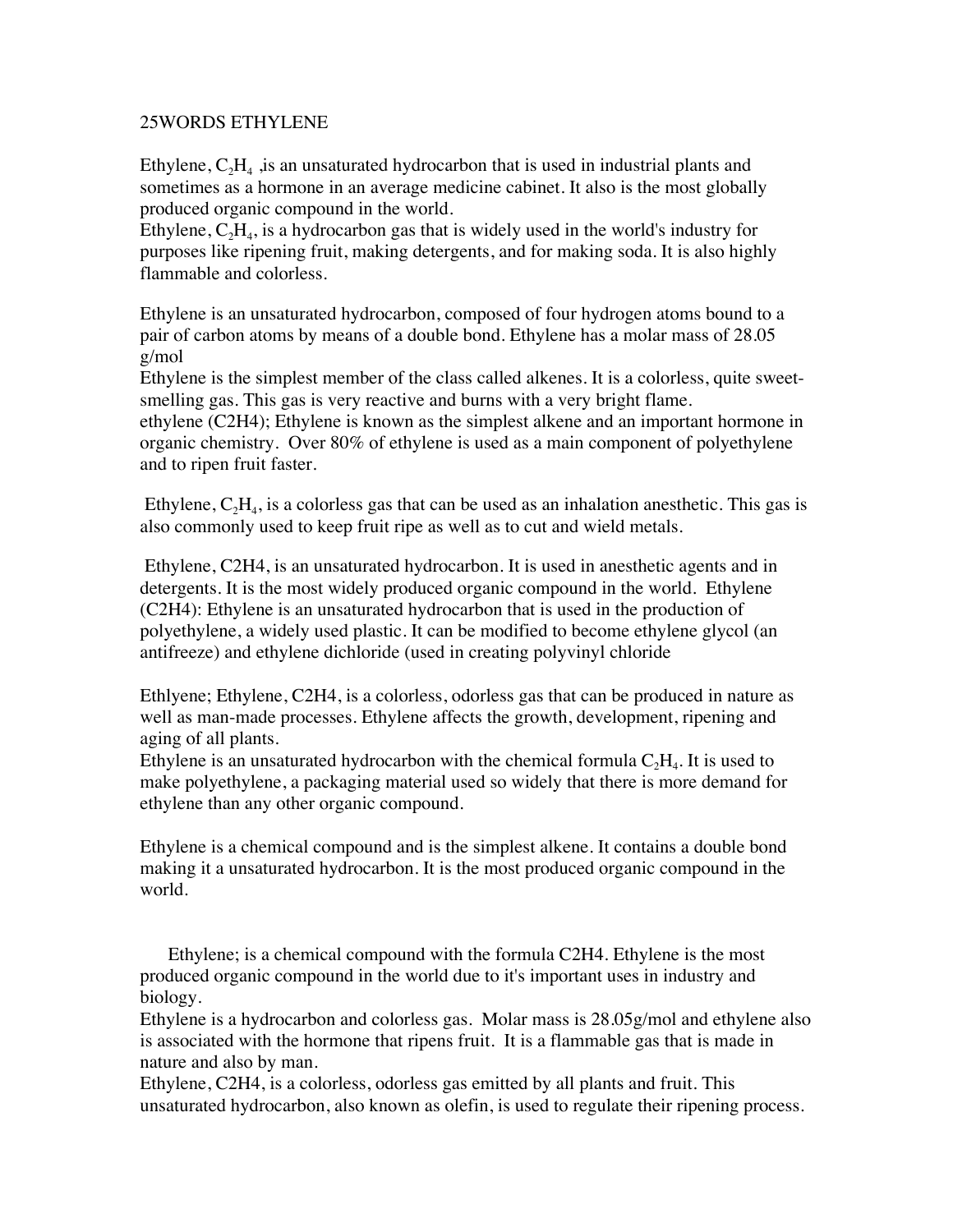## 25WORDS ETHYLENE

Ethylene,  $C_2H_4$ , is an unsaturated hydrocarbon that is used in industrial plants and sometimes as a hormone in an average medicine cabinet. It also is the most globally produced organic compound in the world.

Ethylene,  $C_2H_4$ , is a hydrocarbon gas that is widely used in the world's industry for purposes like ripening fruit, making detergents, and for making soda. It is also highly flammable and colorless.

Ethylene is an unsaturated hydrocarbon, composed of four hydrogen atoms bound to a pair of carbon atoms by means of a double bond. Ethylene has a molar mass of 28.05 g/mol

Ethylene is the simplest member of the class called alkenes. It is a colorless, quite sweetsmelling gas. This gas is very reactive and burns with a very bright flame.

ethylene (C2H4); Ethylene is known as the simplest alkene and an important hormone in organic chemistry. Over 80% of ethylene is used as a main component of polyethylene and to ripen fruit faster.

Ethylene,  $C_2H_4$ , is a colorless gas that can be used as an inhalation anesthetic. This gas is also commonly used to keep fruit ripe as well as to cut and wield metals.

 Ethylene, C2H4, is an unsaturated hydrocarbon. It is used in anesthetic agents and in detergents. It is the most widely produced organic compound in the world. Ethylene (C2H4): Ethylene is an unsaturated hydrocarbon that is used in the production of polyethylene, a widely used plastic. It can be modified to become ethylene glycol (an antifreeze) and ethylene dichloride (used in creating polyvinyl chloride

Ethlyene; Ethylene, C2H4, is a colorless, odorless gas that can be produced in nature as well as man-made processes. Ethylene affects the growth, development, ripening and aging of all plants.

Ethylene is an unsaturated hydrocarbon with the chemical formula  $C_2H_4$ . It is used to make polyethylene, a packaging material used so widely that there is more demand for ethylene than any other organic compound.

Ethylene is a chemical compound and is the simplest alkene. It contains a double bond making it a unsaturated hydrocarbon. It is the most produced organic compound in the world.

 Ethylene; is a chemical compound with the formula C2H4. Ethylene is the most produced organic compound in the world due to it's important uses in industry and biology.

Ethylene is a hydrocarbon and colorless gas. Molar mass is 28.05g/mol and ethylene also is associated with the hormone that ripens fruit. It is a flammable gas that is made in nature and also by man.

Ethylene, C2H4, is a colorless, odorless gas emitted by all plants and fruit. This unsaturated hydrocarbon, also known as olefin, is used to regulate their ripening process.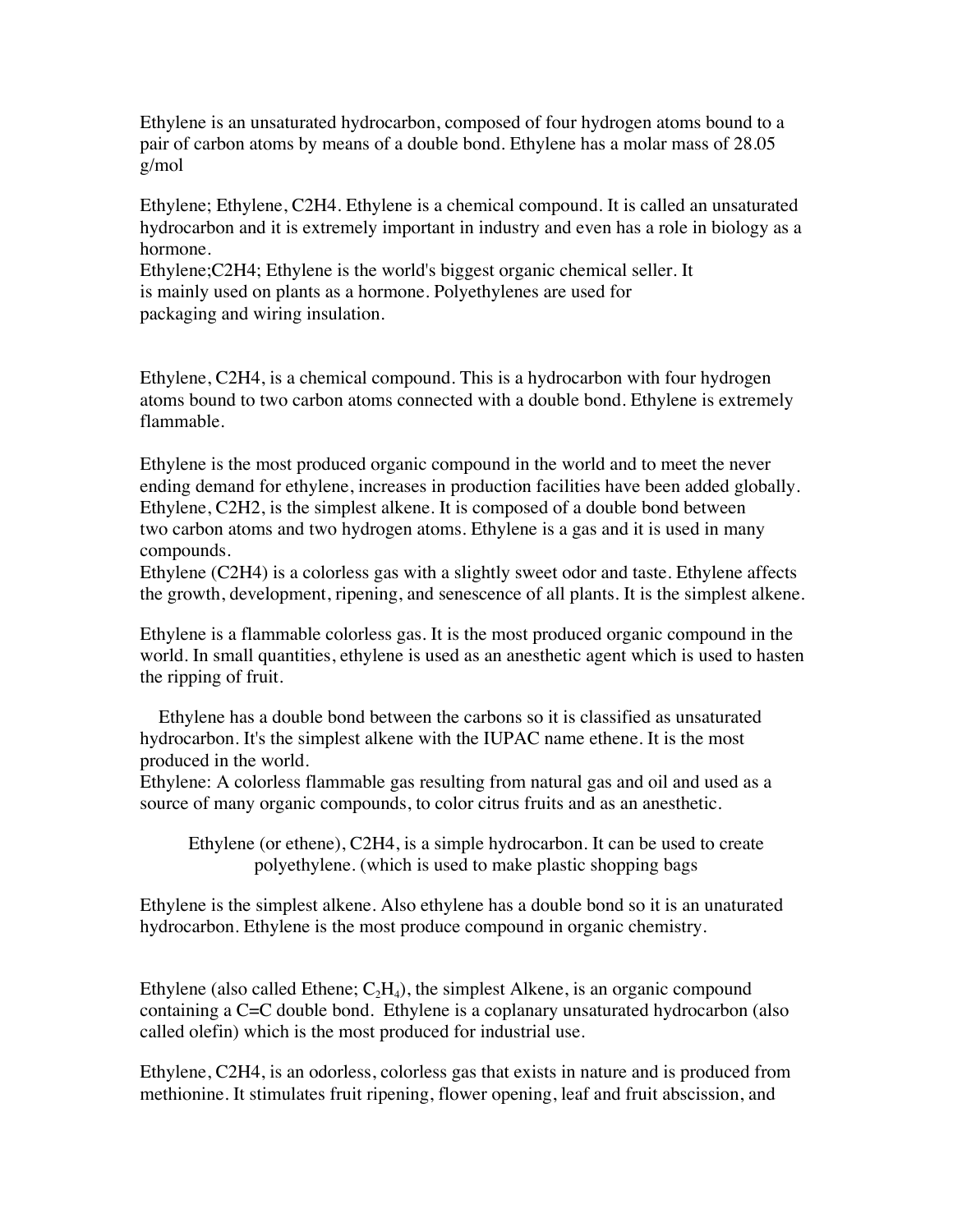Ethylene is an unsaturated hydrocarbon, composed of four hydrogen atoms bound to a pair of carbon atoms by means of a double bond. Ethylene has a molar mass of 28.05 g/mol

Ethylene; Ethylene, C2H4. Ethylene is a chemical compound. It is called an unsaturated hydrocarbon and it is extremely important in industry and even has a role in biology as a hormone.

Ethylene;C2H4; Ethylene is the world's biggest organic chemical seller. It is mainly used on plants as a hormone. Polyethylenes are used for packaging and wiring insulation.

Ethylene, C2H4, is a chemical compound. This is a hydrocarbon with four hydrogen atoms bound to two carbon atoms connected with a double bond. Ethylene is extremely flammable.

Ethylene is the most produced organic compound in the world and to meet the never ending demand for ethylene, increases in production facilities have been added globally. Ethylene, C2H2, is the simplest alkene. It is composed of a double bond between two carbon atoms and two hydrogen atoms. Ethylene is a gas and it is used in many compounds.

Ethylene (C2H4) is a colorless gas with a slightly sweet odor and taste. Ethylene affects the growth, development, ripening, and senescence of all plants. It is the simplest alkene.

Ethylene is a flammable colorless gas. It is the most produced organic compound in the world. In small quantities, ethylene is used as an anesthetic agent which is used to hasten the ripping of fruit.

 Ethylene has a double bond between the carbons so it is classified as unsaturated hydrocarbon. It's the simplest alkene with the IUPAC name ethene. It is the most produced in the world.

Ethylene: A colorless flammable gas resulting from natural gas and oil and used as a source of many organic compounds, to color citrus fruits and as an anesthetic.

Ethylene (or ethene), C2H4, is a simple hydrocarbon. It can be used to create polyethylene. (which is used to make plastic shopping bags

Ethylene is the simplest alkene. Also ethylene has a double bond so it is an unaturated hydrocarbon. Ethylene is the most produce compound in organic chemistry.

Ethylene (also called Ethene;  $C_2H_4$ ), the simplest Alkene, is an organic compound containing a C=C double bond. Ethylene is a coplanary unsaturated hydrocarbon (also called olefin) which is the most produced for industrial use.

Ethylene, C2H4, is an odorless, colorless gas that exists in nature and is produced from methionine. It stimulates fruit ripening, flower opening, leaf and fruit abscission, and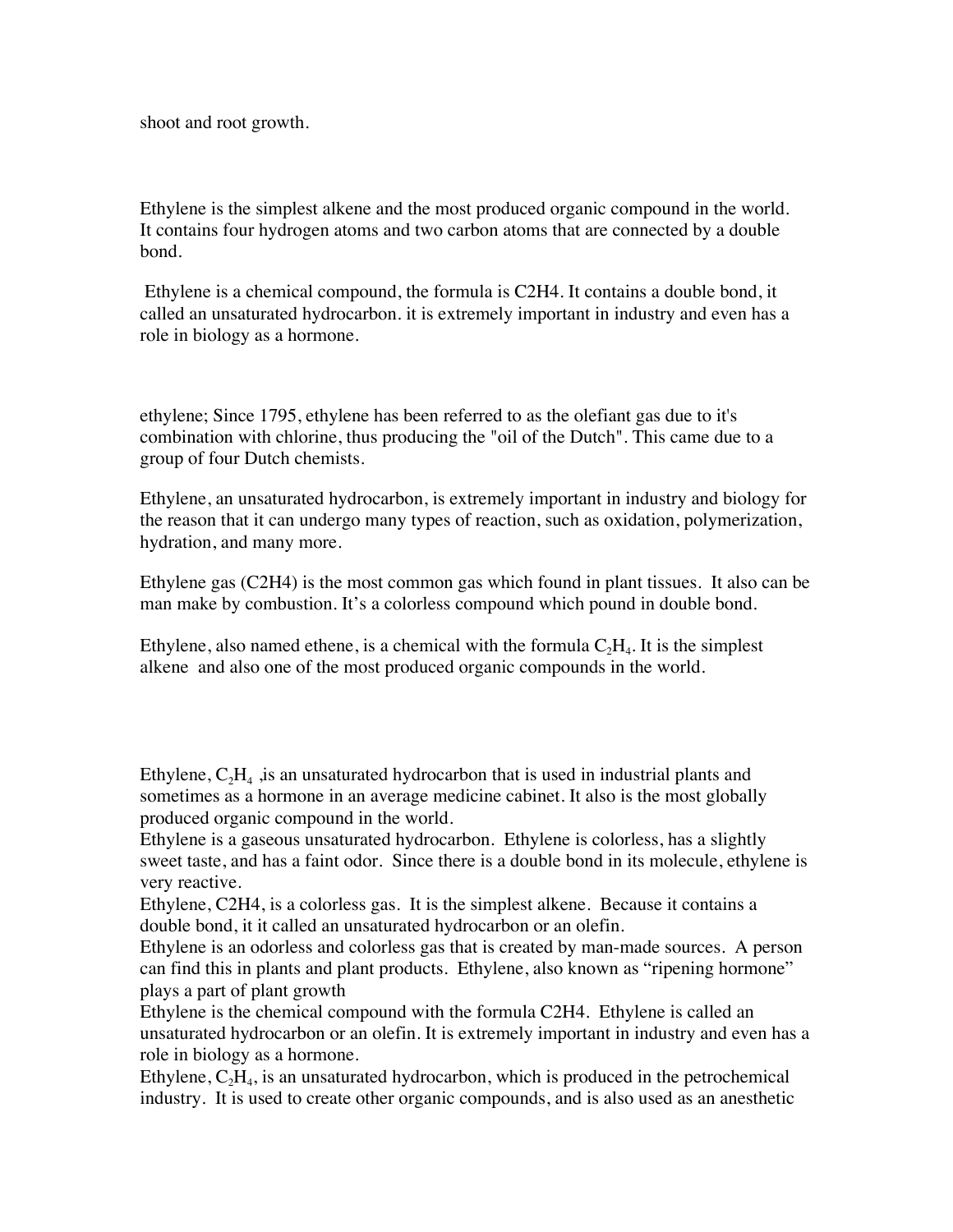shoot and root growth.

Ethylene is the simplest alkene and the most produced organic compound in the world. It contains four hydrogen atoms and two carbon atoms that are connected by a double bond.

 Ethylene is a chemical compound, the formula is C2H4. It contains a double bond, it called an unsaturated hydrocarbon. it is extremely important in industry and even has a role in biology as a hormone.

ethylene; Since 1795, ethylene has been referred to as the olefiant gas due to it's combination with chlorine, thus producing the "oil of the Dutch". This came due to a group of four Dutch chemists.

Ethylene, an unsaturated hydrocarbon, is extremely important in industry and biology for the reason that it can undergo many types of reaction, such as oxidation, polymerization, hydration, and many more.

Ethylene gas (C2H4) is the most common gas which found in plant tissues. It also can be man make by combustion. It's a colorless compound which pound in double bond.

Ethylene, also named ethene, is a chemical with the formula  $C_2H_4$ . It is the simplest alkene and also one of the most produced organic compounds in the world.

Ethylene,  $C_2H_4$ , is an unsaturated hydrocarbon that is used in industrial plants and sometimes as a hormone in an average medicine cabinet. It also is the most globally produced organic compound in the world.

Ethylene is a gaseous unsaturated hydrocarbon. Ethylene is colorless, has a slightly sweet taste, and has a faint odor. Since there is a double bond in its molecule, ethylene is very reactive.

Ethylene, C2H4, is a colorless gas. It is the simplest alkene. Because it contains a double bond, it it called an unsaturated hydrocarbon or an olefin.

Ethylene is an odorless and colorless gas that is created by man-made sources. A person can find this in plants and plant products. Ethylene, also known as "ripening hormone" plays a part of plant growth

Ethylene is the chemical compound with the formula C2H4. Ethylene is called an unsaturated hydrocarbon or an olefin. It is extremely important in industry and even has a role in biology as a hormone.

Ethylene,  $C_2H_4$ , is an unsaturated hydrocarbon, which is produced in the petrochemical industry. It is used to create other organic compounds, and is also used as an anesthetic